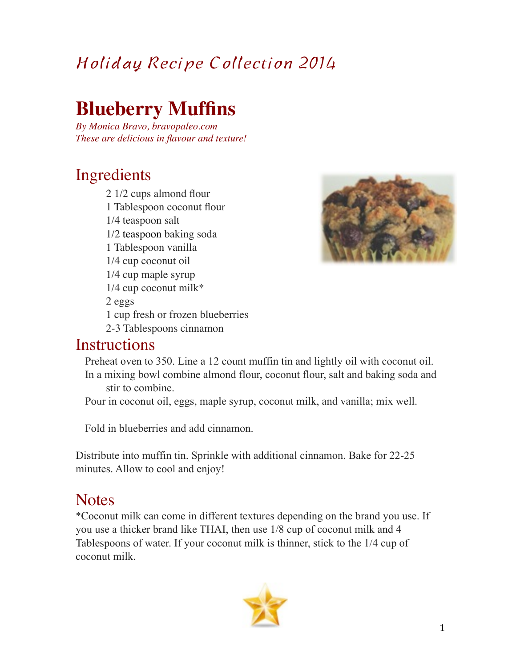## Holiday Recipe Collection 2014

## **Blueberry Muffins**

*By Monica Bravo, bravopaleo.com These are delicious in flavour and texture!*

## Ingredients

 2 1/2 cups almond flour 1 Tablespoon coconut flour 1/4 teaspoon salt 1/2 teaspoon baking soda 1 Tablespoon vanilla 1/4 cup coconut oil 1/4 cup maple syrup 1/4 cup coconut milk\* 2 eggs 1 cup fresh or frozen blueberries 2-3 Tablespoons cinnamon



#### **Instructions**

Preheat oven to 350. Line a 12 count muffin tin and lightly oil with coconut oil. In a mixing bowl combine almond flour, coconut flour, salt and baking soda and

#### stir to combine.

Pour in coconut oil, eggs, maple syrup, coconut milk, and vanilla; mix well.

Fold in blueberries and add cinnamon.

Distribute into muffin tin. Sprinkle with additional cinnamon. Bake for 22-25 minutes. Allow to cool and enjoy!

### **Notes**

\*Coconut milk can come in different textures depending on the brand you use. If you use a thicker brand like THAI, then use 1/8 cup of coconut milk and 4 Tablespoons of water. If your coconut milk is thinner, stick to the 1/4 cup of coconut milk.

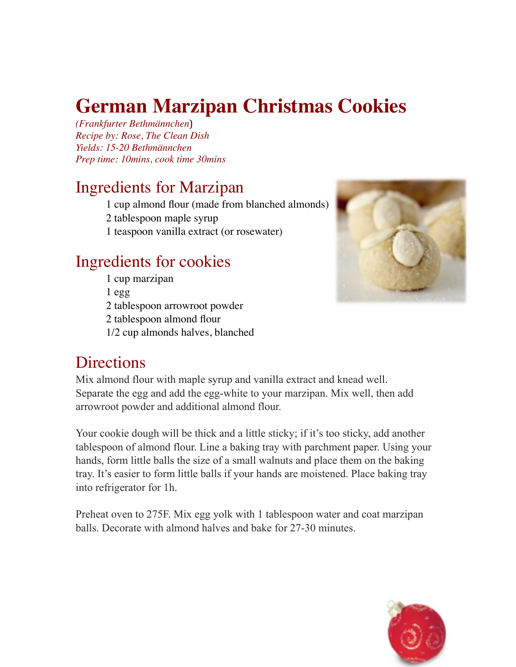# **German Marzipan Christmas Cookies**

*(Frankfurter Bethmännchen*) *Recipe by: Rose, The Clean Dish Yields: 15-20 Bethmännchen Prep time: 10mins, cook time 30mins*

## Ingredients for Marzipan

1 cu[p almond flour](http://amzn.to/1dk2xK9) (made from blanched almonds)

2 tablespoon maple syrup

1 teaspoon [vanilla extract](http://amzn.to/18n7d3x) (or rosewater)

## Ingredients for cookies

1 cup marzipan 1 egg 2 tablespoon [arrowroot powder](http://amzn.to/1hYSQ9U)

2 tablespoon [almond flour](http://amzn.to/1dk2xK9)

1/2 cup almonds halves, blanched



## **Directions**

Mix almond flour with maple syrup and vanilla extract and knead well. Separate the egg and add the egg-white to your marzipan. Mix well, then add arrowroot powder and additional almond flour.

Your cookie dough will be thick and a little sticky; if it's too sticky, add another tablespoon of almond flour. Line a baking tray with parchment paper. Using your hands, form little balls the size of a small walnuts and place them on the baking tray. It's easier to form little balls if your hands are moistened. Place baking tray into refrigerator for 1h.

Preheat oven to 275F. Mix egg yolk with 1 tablespoon water and coat marzipan balls. Decorate with almond halves and bake for 27-30 minutes.

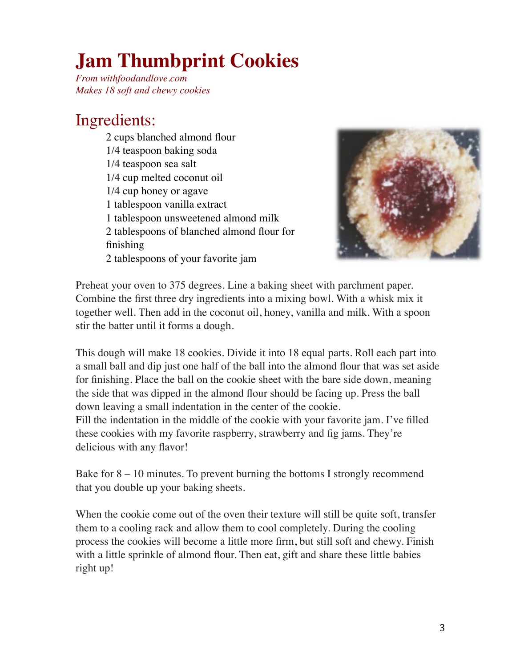# **Jam Thumbprint Cookies**

*From withfoodandlove.com Makes 18 soft and chewy cookies*

## Ingredients:

2 cups blanched almond flour 1/4 teaspoon baking soda 1/4 teaspoon sea salt 1/4 cup melted coconut oil 1/4 cup honey or agave 1 tablespoon vanilla extract 1 tablespoon unsweetened almond milk 2 tablespoons of blanched almond flour for finishing 2 tablespoons of your favorite jam



Preheat your oven to 375 degrees. Line a baking sheet with parchment paper. Combine the first three dry ingredients into a mixing bowl. With a whisk mix it together well. Then add in the coconut oil, honey, vanilla and milk. With a spoon stir the batter until it forms a dough.

This dough will make 18 cookies. Divide it into 18 equal parts. Roll each part into a small ball and dip just one half of the ball into the almond flour that was set aside for finishing. Place the ball on the cookie sheet with the bare side down, meaning the side that was dipped in the almond flour should be facing up. Press the ball down leaving a small indentation in the center of the cookie. Fill the indentation in the middle of the cookie with your favorite jam. I've filled these cookies with my favorite raspberry, strawberry and fig jams. They're delicious with any flavor!

Bake for 8 – 10 minutes. To prevent burning the bottoms I strongly recommend that you double up your baking sheets.

When the cookie come out of the oven their texture will still be quite soft, transfer them to a cooling rack and allow them to cool completely. During the cooling process the cookies will become a little more firm, but still soft and chewy. Finish with a little sprinkle of almond flour. Then eat, gift and share these little babies right up!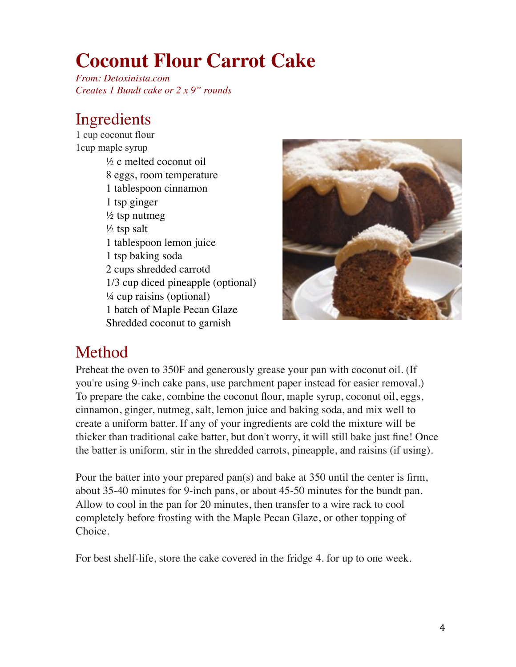# **Coconut Flour Carrot Cake**

*From: Detoxinista.com Creates 1 Bundt cake or 2 x 9" rounds*

## Ingredients

1 cup coconut flour 1cup maple syrup ½ c melted coconut oil 8 eggs, room temperature 1 tablespoon cinnamon 1 tsp ginger  $\frac{1}{2}$  tsp nutmeg  $\frac{1}{2}$  tsp salt 1 tablespoon lemon juice 1 tsp baking soda 2 cups shredded carrotd 1/3 cup diced pineapple (optional) ¼ cup raisins (optional) 1 batch of Maple Pecan Glaze Shredded coconut to garnish



## Method

Preheat the oven to 350F and generously grease your pan with coconut oil. (If you're using 9-inch cake pans, use parchment paper instead for easier removal.) To prepare the cake, combine the coconut flour, maple syrup, coconut oil, eggs, cinnamon, ginger, nutmeg, salt, lemon juice and baking soda, and mix well to create a uniform batter. If any of your ingredients are cold the mixture will be thicker than traditional cake batter, but don't worry, it will still bake just fine! Once the batter is uniform, stir in the shredded carrots, pineapple, and raisins (if using).

Pour the batter into your prepared pan(s) and bake at 350 until the center is firm, about 35-40 minutes for 9-inch pans, or about 45-50 minutes for the bundt pan. Allow to cool in the pan for 20 minutes, then transfer to a wire rack to cool completely before frosting with the Maple Pecan Glaze, or other topping of Choice.

For best shelf-life, store the cake covered in the fridge 4. for up to one week.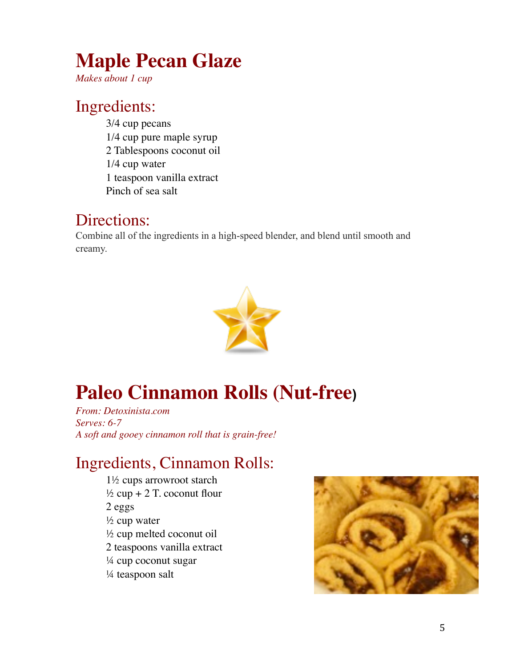# **Maple Pecan Glaze**

*Makes about 1 cup*

## Ingredients:

3/4 cup pecans 1/4 cup pure maple syrup 2 Tablespoons [coconut oil](http://www.amazon.com/gp/product/B001EO5Q64?ie=UTF8&camp=1789&creativeASIN=B001EO5Q64&linkCode=xm2&tag=dtx04-20) 1/4 cup water 1 teaspoon vanilla extract Pinch of sea salt

#### Directions:

Combine all of the ingredients in a high-speed blender, and blend until smooth and creamy.



# **Paleo Cinnamon Rolls (Nut-free)**

*From: Detoxinista.com Serves: 6-7 A soft and gooey cinnamon roll that is grain-free!*

## Ingredients, Cinnamon Rolls:

1½ cups arrowroot starch  $\frac{1}{2}$  cup + 2 T. coconut flour 2 eggs ½ cup water ½ cup melted coconut oil 2 teaspoons vanilla extract ¼ cup coconut sugar ¼ teaspoon salt

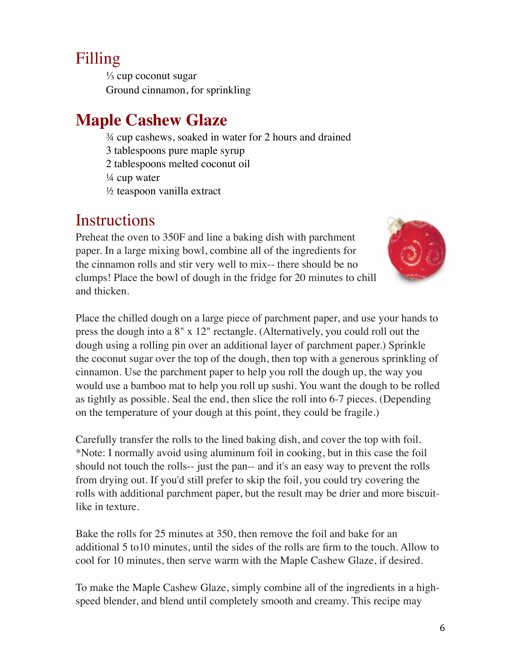## Filling

 $\frac{1}{3}$  cup coconut sugar Ground cinnamon, for sprinkling

## **Maple Cashew Glaze**

¾ cup cashews, soaked in water for 2 hours and drained

3 tablespoons pure maple syrup

2 tablespoons melted coconut oil

¼ cup water

½ teaspoon vanilla extract

## **Instructions**

Preheat the oven to 350F and line a baking dish with parchment paper. In a large mixing bowl, combine all of the ingredients for the cinnamon rolls and stir very well to mix-- there should be no clumps! Place the bowl of dough in the fridge for 20 minutes to chill and thicken.



Place the chilled dough on a large piece of parchment paper, and use your hands to press the dough into a 8" x 12" rectangle. (Alternatively, you could roll out the dough using a rolling pin over an additional layer of parchment paper.) Sprinkle the coconut sugar over the top of the dough, then top with a generous sprinkling of cinnamon. Use the parchment paper to help you roll the dough up, the way you would use a bamboo mat to help you roll up sushi. You want the dough to be rolled as tightly as possible. Seal the end, then slice the roll into 6-7 pieces. (Depending on the temperature of your dough at this point, they could be fragile.)

Carefully transfer the rolls to the lined baking dish, and cover the top with foil. \*Note: I normally avoid using aluminum foil in cooking, but in this case the foil should not touch the rolls-- just the pan-- and it's an easy way to prevent the rolls from drying out. If you'd still prefer to skip the foil, you could try covering the rolls with additional parchment paper, but the result may be drier and more biscuitlike in texture.

Bake the rolls for 25 minutes at 350, then remove the foil and bake for an additional 5 to10 minutes, until the sides of the rolls are firm to the touch. Allow to cool for 10 minutes, then serve warm with the Maple Cashew Glaze, if desired.

To make the Maple Cashew Glaze, simply combine all of the ingredients in a highspeed blender, and blend until completely smooth and creamy. This recipe may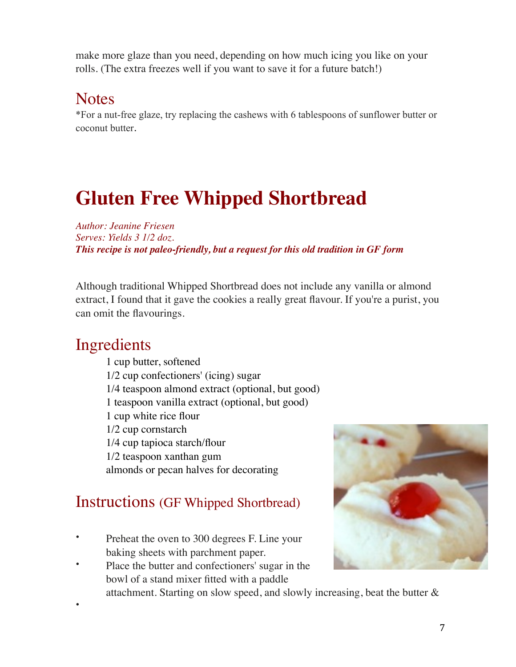make more glaze than you need, depending on how much icing you like on your rolls. (The extra freezes well if you want to save it for a future batch!)

## **Notes**

\*For a nut-free glaze, try replacing the cashews with 6 tablespoons of sunflower butter or coconut butter.

# **Gluten Free Whipped Shortbread**

*Author: Jeanine Friesen Serves: Yields 3 1/2 doz. This recipe is not paleo-friendly, but a request for this old tradition in GF form*

Although traditional Whipped Shortbread does not include any vanilla or almond extract, I found that it gave the cookies a really great flavour. If you're a purist, you can omit the flavourings.

## Ingredients

•

1 cup butter, softened 1/2 cup confectioners' (icing) sugar 1/4 teaspoon almond extract (optional, but good) 1 teaspoon vanilla extract (optional, but good) 1 cup white rice flour 1/2 cup cornstarch 1/4 cup tapioca starch/flour 1/2 teaspoon xanthan gum almonds or pecan halves for decorating

## Instructions (GF Whipped Shortbread)

- Preheat the oven to 300 degrees F. Line your baking sheets with parchment paper.
- Place the butter and confectioners' sugar in the bowl of a stand mixer fitted with a paddle



attachment. Starting on slow speed, and slowly increasing, beat the butter &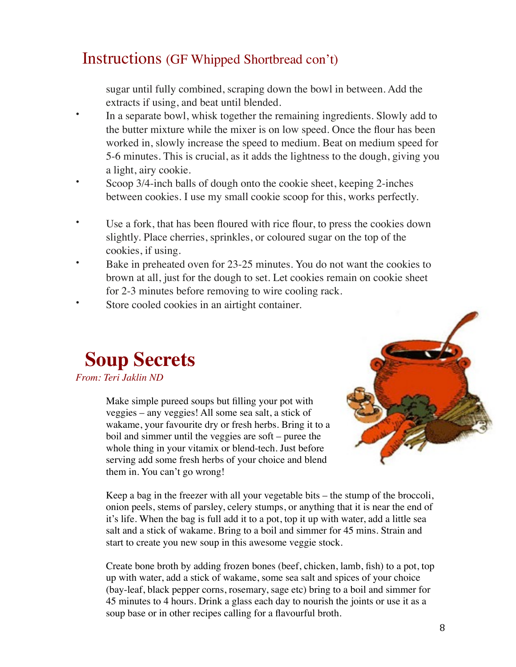### Instructions (GF Whipped Shortbread con't)

sugar until fully combined, scraping down the bowl in between. Add the extracts if using, and beat until blended.

- In a separate bowl, whisk together the remaining ingredients. Slowly add to the butter mixture while the mixer is on low speed. Once the flour has been worked in, slowly increase the speed to medium. Beat on medium speed for 5-6 minutes. This is crucial, as it adds the lightness to the dough, giving you a light, airy cookie.
- Scoop 3/4-inch balls of dough onto the cookie sheet, keeping 2-inches between cookies. I use my [small cookie scoop](http://www.amazon.com/gp/product/B00004UE85/ref=as_li_ss_tl?ie=UTF8&camp=1789&creative=390957&creativeASIN=B00004UE85&linkCode=as2&tag=thebakbea-20) for this, works perfectly.
- Use a fork, that has been floured with rice flour, to press the cookies down slightly. Place cherries, sprinkles, or coloured sugar on the top of the cookies, if using.
- Bake in preheated oven for 23-25 minutes. You do not want the cookies to brown at all, just for the dough to set. Let cookies remain on cookie sheet for 2-3 minutes before removing to wire cooling rack.
- Store cooled cookies in an airtight container.

## **Soup Secrets**

*From: Teri Jaklin ND*

Make simple pureed soups but filling your pot with veggies – any veggies! All some sea salt, a stick of wakame, your favourite dry or fresh herbs. Bring it to a boil and simmer until the veggies are soft – puree the whole thing in your vitamix or blend-tech. Just before serving add some fresh herbs of your choice and blend them in. You can't go wrong!



Keep a bag in the freezer with all your vegetable bits – the stump of the broccoli, onion peels, stems of parsley, celery stumps, or anything that it is near the end of it's life. When the bag is full add it to a pot, top it up with water, add a little sea salt and a stick of wakame. Bring to a boil and simmer for 45 mins. Strain and start to create you new soup in this awesome veggie stock.

Create bone broth by adding frozen bones (beef, chicken, lamb, fish) to a pot, top up with water, add a stick of wakame, some sea salt and spices of your choice (bay-leaf, black pepper corns, rosemary, sage etc) bring to a boil and simmer for 45 minutes to 4 hours. Drink a glass each day to nourish the joints or use it as a soup base or in other recipes calling for a flavourful broth.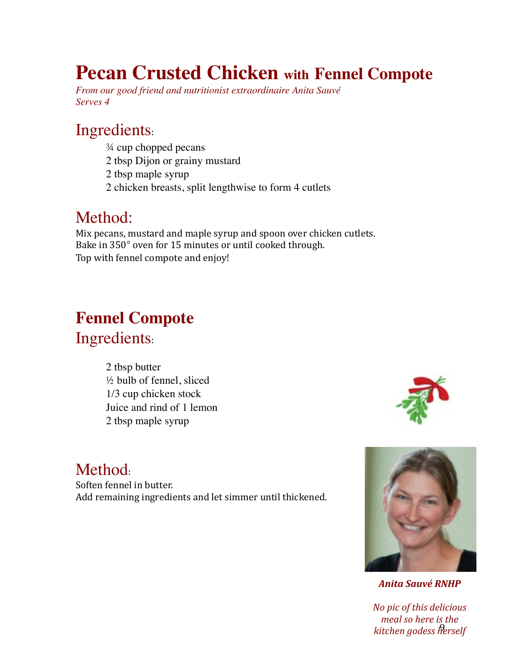## **Pecan Crusted Chicken with Fennel Compote**

*From our good friend and nutritionist extraordinaire Anita Sauvé Serves 4*

## Ingredients:

- ¾ cup chopped pecans
- 2 tbsp Dijon or grainy mustard
- 2 tbsp maple syrup
- 2 chicken breasts, split lengthwise to form 4 cutlets

## Method:

Mix pecans, mustard and maple syrup and spoon over chicken cutlets. Bake in 350° oven for 15 minutes or until cooked through. Top with fennel compote and enjoy!

## **Fennel Compote** Ingredients:

2 tbsp butter ½ bulb of fennel, sliced 1/3 cup chicken stock Juice and rind of 1 lemon 2 tbsp maple syrup



## Method:

Soften fennel in butter. Add remaining ingredients and let simmer until thickened.



*Anita Sauvé RNHP*

9 *kitchen godess herselfNo pic of this delicious*  meal so here is the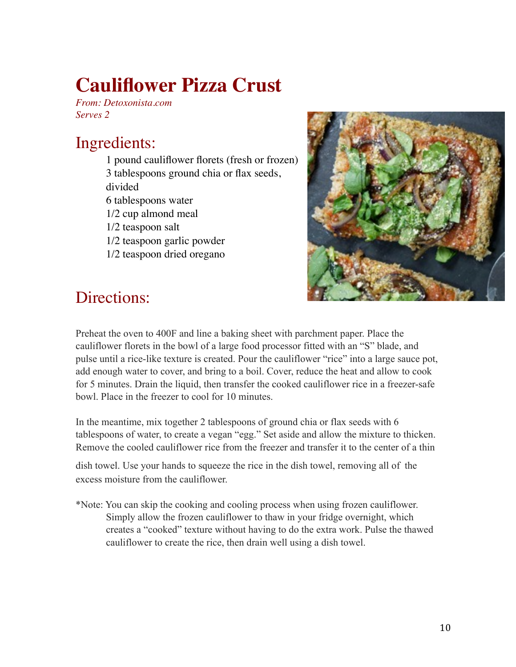# **Cauliflower Pizza Crust**

*From: Detoxonista.com Serves 2*

## Ingredients:

- 1 pound cauliflower florets (fresh or frozen) 3 tablespoons ground chia or flax seeds, divided 6 tablespoons water 1/2 cup almond meal
- 1/2 teaspoon salt
- 1/2 teaspoon garlic powder
- 1/2 teaspoon dried oregano



## Directions:

Preheat the oven to 400F and line a baking sheet with parchment paper. Place the cauliflower florets in the bowl of a large food processor fitted with an "S" blade, and pulse until a rice-like texture is created. Pour the cauliflower "rice" into a large sauce pot, add enough water to cover, and bring to a boil. Cover, reduce the heat and allow to cook for 5 minutes. Drain the liquid, then transfer the cooked cauliflower rice in a freezer-safe bowl. Place in the freezer to cool for 10 minutes.

In the meantime, mix together 2 tablespoons of ground chia or flax seeds with 6 tablespoons of water, to create a vegan "egg." Set aside and allow the mixture to thicken. Remove the cooled cauliflower rice from the freezer and transfer it to the center of a thin

dish towel. Use your hands to squeeze the rice in the dish towel, removing all of the excess moisture from the cauliflower.

\*Note: You can skip the cooking and cooling process when using frozen cauliflower. Simply allow the frozen cauliflower to thaw in your fridge overnight, which creates a "cooked" texture without having to do the extra work. Pulse the thawed cauliflower to create the rice, then drain well using a dish towel.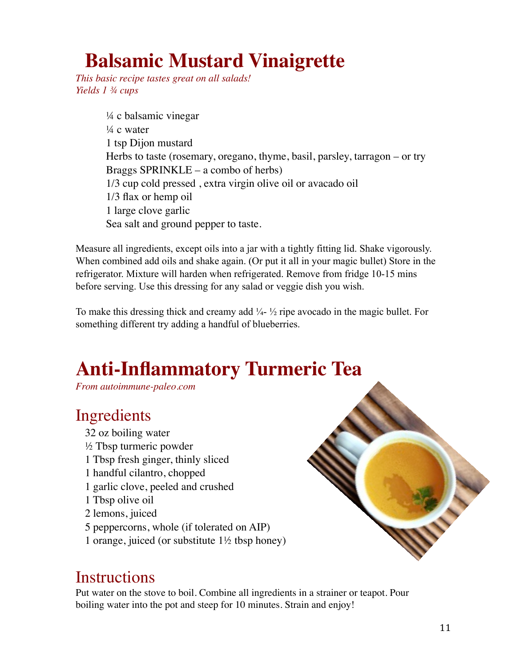# **Balsamic Mustard Vinaigrette**

*This basic recipe tastes great on all salads! Yields 1 ¾ cups*

> ¼ c balsamic vinegar  $\frac{1}{4}$  c water 1 tsp Dijon mustard Herbs to taste (rosemary, oregano, thyme, basil, parsley, tarragon – or try Braggs SPRINKLE – a combo of herbs) 1/3 cup cold pressed , extra virgin olive oil or avacado oil 1/3 flax or hemp oil 1 large clove garlic Sea salt and ground pepper to taste.

Measure all ingredients, except oils into a jar with a tightly fitting lid. Shake vigorously. When combined add oils and shake again. (Or put it all in your magic bullet) Store in the refrigerator. Mixture will harden when refrigerated. Remove from fridge 10-15 mins before serving. Use this dressing for any salad or veggie dish you wish.

To make this dressing thick and creamy add  $\frac{1}{4}$ -  $\frac{1}{2}$  ripe avocado in the magic bullet. For something different try adding a handful of blueberries.

# **Anti-Inflammatory Turmeric Tea**

*From autoimmune-paleo.com*

## Ingredients

32 oz boiling water ½ Tbsp turmeric powder 1 Tbsp fresh ginger, thinly sliced 1 handful cilantro, chopped 1 garlic clove, peeled and crushed 1 Tbsp olive oil 2 lemons, juiced 5 peppercorns, whole (if tolerated on AIP) 1 orange, juiced (or substitute 1½ tbsp honey)

## **Instructions**

Put water on the stove to boil. Combine all ingredients in a strainer or teapot. Pour boiling water into the pot and steep for 10 minutes. Strain and enjoy!

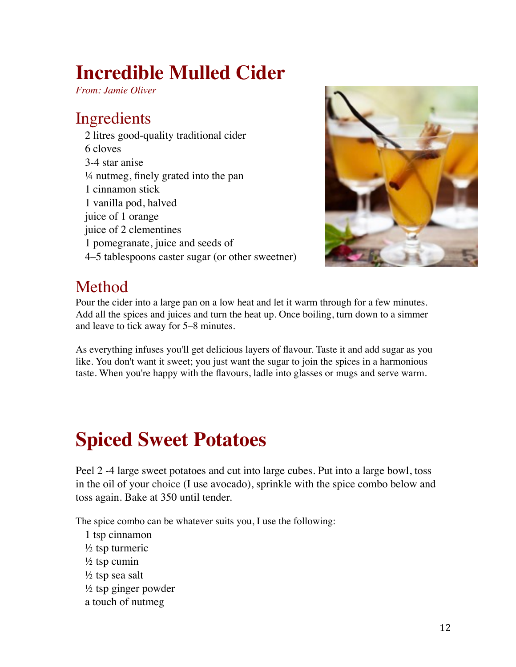# **Incredible Mulled Cider**

*From: Jamie Oliver*

## Ingredients

2 litres good-quality traditional cider 6 cloves 3-4 star anise ¼ nutmeg, finely grated into the pan 1 cinnamon stick 1 vanilla pod, halved juice of 1 orange juice of 2 clementines 1 pomegranate, juice and seeds of 4–5 tablespoons caster sugar (or other sweetner)



## Method

Pour the cider into a large pan on a low heat and let it warm through for a few minutes. Add all the spices and juices and turn the heat up. Once boiling, turn down to a simmer and leave to tick away for 5–8 minutes.

As everything infuses you'll get delicious layers of flavour. Taste it and add sugar as you like. You don't want it sweet; you just want the sugar to join the spices in a harmonious taste. When you're happy with the flavours, ladle into glasses or mugs and serve warm.

# **Spiced Sweet Potatoes**

Peel 2 -4 large sweet potatoes and cut into large cubes. Put into a large bowl, toss in the oil of your choice (I use avocado), sprinkle with the spice combo below and toss again. Bake at 350 until tender.

The spice combo can be whatever suits you, I use the following:

- 1 tsp cinnamon ½ tsp turmeric  $\frac{1}{2}$  tsp cumin
- $\frac{1}{2}$  tsp sea salt
- $\frac{1}{2}$  tsp ginger powder
- a touch of nutmeg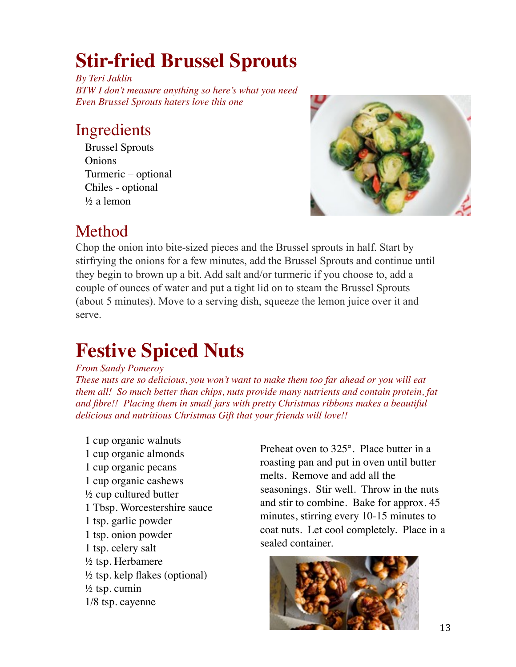# **Stir-fried Brussel Sprouts**

*By Teri Jaklin BTW I don't measure anything so here's what you need Even Brussel Sprouts haters love this one*

## Ingredients

Brussel Sprouts Onions Turmeric – optional Chiles - optional ½ a lemon



## Method

Chop the onion into bite-sized pieces and the Brussel sprouts in half. Start by stirfrying the onions for a few minutes, add the Brussel Sprouts and continue until they begin to brown up a bit. Add salt and/or turmeric if you choose to, add a couple of ounces of water and put a tight lid on to steam the Brussel Sprouts (about 5 minutes). Move to a serving dish, squeeze the lemon juice over it and serve.

## **Festive Spiced Nuts**

#### *From Sandy Pomeroy*

*These nuts are so delicious, you won't want to make them too far ahead or you will eat them all! So much better than chips, nuts provide many nutrients and contain protein, fat and fibre!! Placing them in small jars with pretty Christmas ribbons makes a beautiful delicious and nutritious Christmas Gift that your friends will love!!*

1 cup organic walnuts 1 cup organic almonds 1 cup organic pecans 1 cup organic cashews ½ cup cultured butter 1 Tbsp. Worcestershire sauce 1 tsp. garlic powder 1 tsp. onion powder 1 tsp. celery salt  $\frac{1}{2}$  tsp. Herbamere  $\frac{1}{2}$  tsp. kelp flakes (optional)  $\frac{1}{2}$  tsp. cumin 1/8 tsp. cayenne

Preheat oven to 325°. Place butter in a roasting pan and put in oven until butter melts. Remove and add all the seasonings. Stir well. Throw in the nuts and stir to combine. Bake for approx. 45 minutes, stirring every 10-15 minutes to coat nuts. Let cool completely. Place in a sealed container.